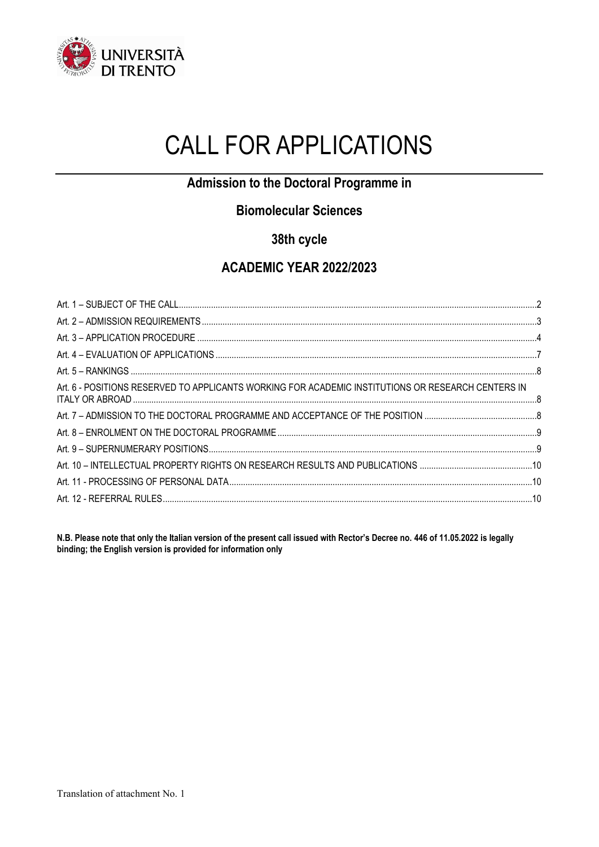

# CALL FOR APPLICATIONS

## **Admission to the Doctoral Programme in**

## **Biomolecular Sciences**

## **38th cycle**

## **ACADEMIC YEAR 2022/2023**

| Art. 6 - POSITIONS RESERVED TO APPLICANTS WORKING FOR ACADEMIC INSTITUTIONS OR RESEARCH CENTERS IN |  |
|----------------------------------------------------------------------------------------------------|--|
|                                                                                                    |  |
|                                                                                                    |  |
|                                                                                                    |  |
|                                                                                                    |  |
|                                                                                                    |  |
|                                                                                                    |  |
|                                                                                                    |  |

**N.B. Please note that only the Italian version of the present call issued with Rector's Decree no. 446 of 11.05.2022 is legally binding; the English version is provided for information only**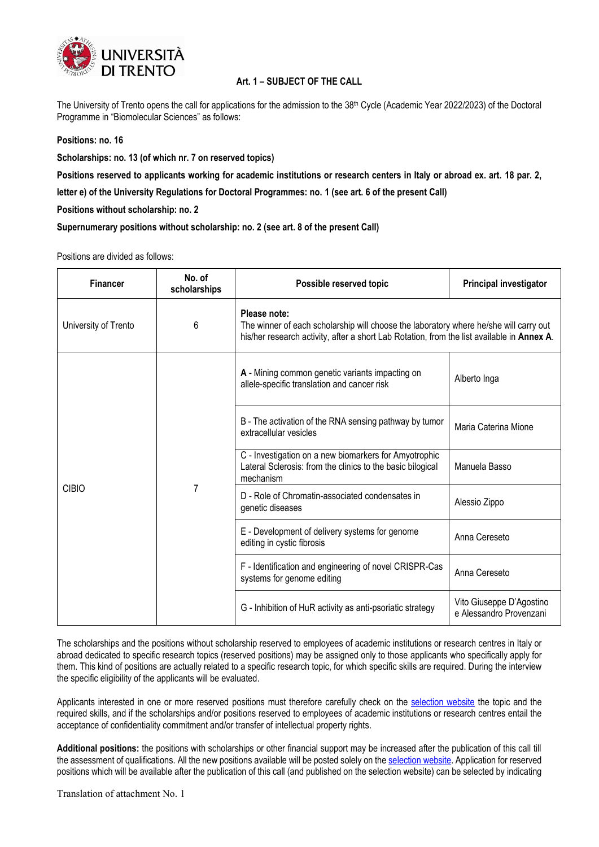

#### **Art. 1 – SUBJECT OF THE CALL**

<span id="page-1-0"></span>The University of Trento opens the call for applications for the admission to the  $38<sup>th</sup>$  Cycle (Academic Year 2022/2023) of the Doctoral Programme in "Biomolecular Sciences" as follows:

#### **Positions: no. 16**

**Scholarships: no. 13 (of which nr. 7 on reserved topics)**

**Positions reserved to applicants working for academic institutions or research centers in Italy or abroad ex. art. 18 par. 2,** 

**letter e) of the University Regulations for Doctoral Programmes: no. 1 (see art. 6 of the present Call)**

**Positions without scholarship: no. 2**

**Supernumerary positions without scholarship: no. 2 (see art. 8 of the present Call)**

Positions are divided as follows:

| <b>Financer</b>      | No. of<br>scholarships | Possible reserved topic                                                                                                                                                                             | <b>Principal investigator</b>                       |
|----------------------|------------------------|-----------------------------------------------------------------------------------------------------------------------------------------------------------------------------------------------------|-----------------------------------------------------|
| University of Trento | 6                      | Please note:<br>The winner of each scholarship will choose the laboratory where he/she will carry out<br>his/her research activity, after a short Lab Rotation, from the list available in Annex A. |                                                     |
| <b>CIBIO</b>         | 7                      | A - Mining common genetic variants impacting on<br>allele-specific translation and cancer risk                                                                                                      | Alberto Inga                                        |
|                      |                        | B - The activation of the RNA sensing pathway by tumor<br>extracellular vesicles                                                                                                                    | Maria Caterina Mione                                |
|                      |                        | C - Investigation on a new biomarkers for Amyotrophic<br>Lateral Sclerosis: from the clinics to the basic bilogical<br>mechanism                                                                    | Manuela Basso                                       |
|                      |                        | D - Role of Chromatin-associated condensates in<br>genetic diseases                                                                                                                                 | Alessio Zippo                                       |
|                      |                        | E - Development of delivery systems for genome<br>editing in cystic fibrosis                                                                                                                        | Anna Cereseto                                       |
|                      |                        | F - Identification and engineering of novel CRISPR-Cas<br>systems for genome editing                                                                                                                | Anna Cereseto                                       |
|                      |                        | G - Inhibition of HuR activity as anti-psoriatic strategy                                                                                                                                           | Vito Giuseppe D'Agostino<br>e Alessandro Provenzani |

The scholarships and the positions without scholarship reserved to employees of academic institutions or research centres in Italy or abroad dedicated to specific research topics (reserved positions) may be assigned only to those applicants who specifically apply for them. This kind of positions are actually related to a specific research topic, for which specific skills are required. During the interview the specific eligibility of the applicants will be evaluated.

Applicants interested in one or more reserved positions must therefore carefully check on the [selection website](https://www.unitn.it/en/node/1961) the topic and the required skills, and if the scholarships and/or positions reserved to employees of academic institutions or research centres entail the acceptance of confidentiality commitment and/or transfer of intellectual property rights.

**Additional positions:** the positions with scholarships or other financial support may be increased after the publication of this call till the assessment of qualifications. All the new positions available will be posted solely on th[e selection website.](https://www.unitn.it/en/node/1961) Application for reserved positions which will be available after the publication of this call (and published on the selection website) can be selected by indicating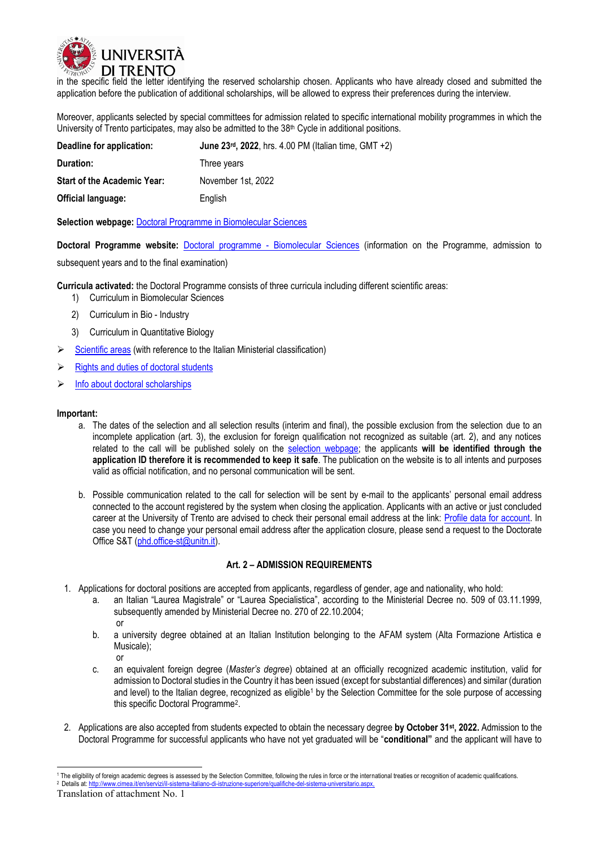

in the specific field the letter identifying the reserved scholarship chosen. Applicants who have already closed and submitted the application before the publication of additional scholarships, will be allowed to express their preferences during the interview.

Moreover, applicants selected by special committees for admission related to specific international mobility programmes in which the University of Trento participates, may also be admitted to the 38<sup>th</sup> Cycle in additional positions.

| Deadline for application:          | June 23rd, 2022, hrs. $4.00 \text{ PM}$ (Italian time, GMT $+2$ ) |
|------------------------------------|-------------------------------------------------------------------|
| Duration:                          | Three years                                                       |
| <b>Start of the Academic Year:</b> | November 1st, 2022                                                |
| Official language:                 | English                                                           |

**Selection webpage:** [Doctoral Programme in Biomolecular Sciences](https://www.unitn.it/en/node/1961)

**Doctoral Programme website:** Doctoral programme - [Biomolecular Sciences](https://www.unitn.it/drbs/) (information on the Programme, admission to

subsequent years and to the final examination)

**Curricula activated:** the Doctoral Programme consists of three curricula including different scientific areas:

- 1) Curriculum in Biomolecular Sciences
- 2) Curriculum in Bio Industry
- 3) Curriculum in Quantitative Biology
- $\triangleright$  [Scientific areas](https://www.unitn.it/en/node/1905) (with reference to the Italian Ministerial classification)
- ➢ [Rights and duties of doctoral students](https://www.unitn.it/en/node/52919)
- ➢ [Info about doctoral scholarships](https://www.unitn.it/en/node/362)

#### **Important:**

- a. The dates of the selection and all selection results (interim and final), the possible exclusion from the selection due to an incomplete application (art. 3), the exclusion for foreign qualification not recognized as suitable (art. 2), and any notices related to the call will be published solely on the [selection webpage;](https://www.unitn.it/en/node/1961) the applicants **will be identified through the application ID therefore it is recommended to keep it safe**. The publication on the website is to all intents and purposes valid as official notification, and no personal communication will be sent.
- b. Possible communication related to the call for selection will be sent by e-mail to the applicants' personal email address connected to the account registered by the system when closing the application. Applicants with an active or just concluded career at the University of Trento are advised to check their personal email address at the link: [Profile data for account.](https://webapps.unitn.it/password1/en/accountdata/personalcontacts) In case you need to change your personal email address after the application closure, please send a request to the Doctorate Office S&T [\(phd.office-st@unitn.it\)](mailto:phd.office-st@unitn.it).

#### **Art. 2 – ADMISSION REQUIREMENTS**

- <span id="page-2-0"></span>1. Applications for doctoral positions are accepted from applicants, regardless of gender, age and nationality, who hold:
	- a. an Italian "Laurea Magistrale" or "Laurea Specialistica", according to the Ministerial Decree no. 509 of 03.11.1999, subsequently amended by Ministerial Decree no. 270 of 22.10.2004; or
	- b. a university degree obtained at an Italian Institution belonging to the AFAM system (Alta Formazione Artistica e Musicale); or
	- c. an equivalent foreign degree (*Master's degree*) obtained at an officially recognized academic institution, valid for admission to Doctoral studies in the Country it has been issued (except for substantial differences) and similar (duration and level) to the Italian degree, recognized as eligible<sup>1</sup> by the Selection Committee for the sole purpose of accessing this specific Doctoral Programme<sup>2</sup> .
- 2. Applications are also accepted from students expected to obtain the necessary degree **by October 31st, 2022.** Admission to the Doctoral Programme for successful applicants who have not yet graduated will be "**conditional"** and the applicant will have to

<sup>1</sup> <sup>1</sup> The eligibility of foreign academic degrees is assessed by the Selection Committee, following the rules in force or the international treaties or recognition of academic qualifications.

<sup>2</sup> Details at[: http://www.cimea.it/en/servizi/il-sistema-italiano-di-istruzione-superiore/qualifiche-del-sistema-universitario.aspx,](http://www.cimea.it/en/servizi/il-sistema-italiano-di-istruzione-superiore/qualifiche-del-sistema-universitario.aspx)

Translation of attachment No. 1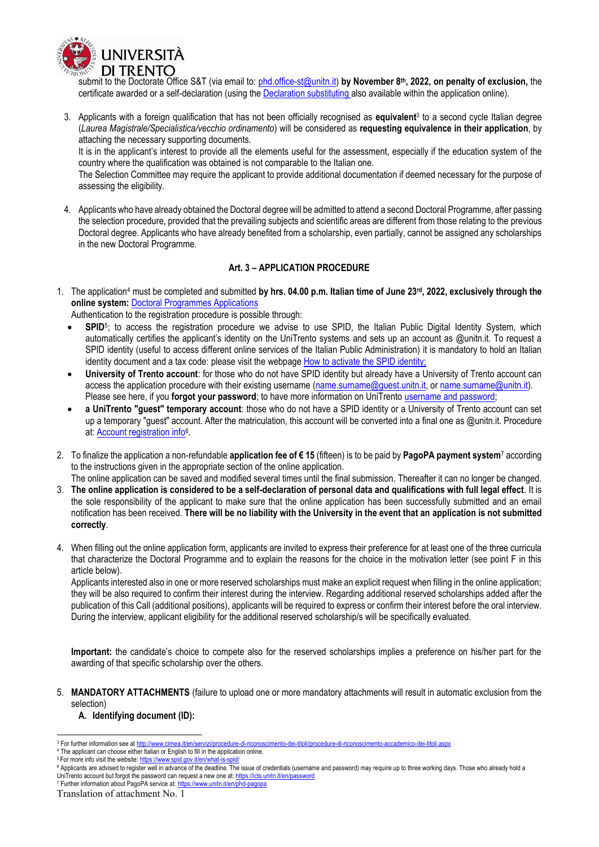

submit to the Doctorate Office S&T (via email to: [phd.office-st@unitn.it\)](mailto:phd.office-st@unitn.it) **by November 8 th, 2022, on penalty of exclusion,** the certificate awarded or a self-declaration (using th[e Declaration substituting a](https://www.unitn.it/node/57597/download/declarationsubstituingdegreecertificateciclo30eng.docx)lso available within the application online).

3. Applicants with a foreign qualification that has not been officially recognised as **equivalent**<sup>3</sup> to a second cycle Italian degree (*Laurea Magistrale/Specialistica/vecchio ordinamento*) will be considered as **requesting equivalence in their application**, by attaching the necessary supporting documents.

It is in the applicant's interest to provide all the elements useful for the assessment, especially if the education system of the country where the qualification was obtained is not comparable to the Italian one.

The Selection Committee may require the applicant to provide additional documentation if deemed necessary for the purpose of assessing the eligibility.

4. Applicants who have already obtained the Doctoral degree will be admitted to attend a second Doctoral Programme, after passing the selection procedure, provided that the prevailing subjects and scientific areas are different from those relating to the previous Doctoral degree. Applicants who have already benefited from a scholarship, even partially, cannot be assigned any scholarships in the new Doctoral Programme.

#### **Art. 3 – APPLICATION PROCEDURE**

<span id="page-3-0"></span>1. The application<sup>4</sup> must be completed and submitted **by hrs. 04.00 p.m. Italian time of June 23rd , 2022, exclusively through the online system:** [Doctoral Programmes Applications](https://webapps.unitn.it/Apply/en/Web/Home/dott)

Authentication to the registration procedure is possible through:

- **SPID**<sup>5</sup> ; to access the registration procedure we advise to use SPID, the Italian Public Digital Identity System, which automatically certifies the applicant's identity on the UniTrento systems and sets up an account as @unitn.it. To request a SPID identity (useful to access different online services of the Italian Public Administration) it is mandatory to hold an Italian identity document and a tax code: please visit the webpage [How to activate the SPID identity;](https://www.spid.gov.it/en/what-is-spid/how-to-activate-spid/)
- **University of Trento account**: for those who do not have SPID identity but already have a University of Trento account can access the application procedure with their existing username [\(name.surname@guest.unitn.it,](mailto:name.surname@guest.unitn.it) o[r name.surname@unitn.it\)](mailto:name.surname@unitn.it). Please see here, if you **[forgot your password](https://icts.unitn.it/en/password)**; to have more information on UniTrento [username and password;](https://icts.unitn.it/en/account-password)
- **a UniTrento "guest" temporary account**: those who do not have a SPID identity or a University of Trento account can set up a temporary "guest" account. After the matriculation, this account will be converted into a final one as @unitn.it. Procedure at: **Account registration info**<sup>6</sup>.
- 2. To finalize the application a non-refundable **application fee of € 15** (fifteen) is to be paid by **PagoPA payment system**<sup>7</sup> according to the instructions given in the appropriate section of the online application. The online application can be saved and modified several times until the final submission. Thereafter it can no longer be changed.
- 3. **The online application is considered to be a self-declaration of personal data and qualifications with full legal effect**. It is the sole responsibility of the applicant to make sure that the online application has been successfully submitted and an email notification has been received. **There will be no liability with the University in the event that an application is not submitted correctly**.
- 4. When filling out the online application form, applicants are invited to express their preference for at least one of the three curricula that characterize the Doctoral Programme and to explain the reasons for the choice in the motivation letter (see point F in this article below).

Applicants interested also in one or more reserved scholarships must make an explicit request when filling in the online application; they will be also required to confirm their interes[t during](mailto:during) the interview. Regarding additional reserved scholarships added after the publication of this Call (additional positions), applicants will be required to express or confirm their interest before the oral interview. During the interview, applicant eligibility for the additional reserved scholarship/s will be specifically evaluated.

**Important:** the candidate's choice to compete also for the reserved scholarships implies a preference on his/her part for the awarding of that specific scholarship over the others.

5. **MANDATORY ATTACHMENTS** (failure to upload one or more mandatory attachments will result in automatic exclusion from the selection)

**A. Identifying document (ID):**

<sup>4</sup> The applicant can choose either Italian or English to fill in the application online. <sup>5</sup> For more info visit the website: https://www.spid.gov.it/en/what-is-spid

-

<sup>&</sup>lt;sup>3</sup> For further information see a[t http://www.cimea.it/en/servizi/procedure-di-riconoscimento-dei-titoli/procedure-di-riconoscimento-accademico-dei-titoli.aspx](http://www.cimea.it/en/servizi/procedure-di-riconoscimento-dei-titoli/procedure-di-riconoscimento-accademico-dei-titoli.aspx)

<sup>&</sup>lt;sup>6</sup> Applicants are advised to register well in advance of the deadline. The issue of credentials (username and password) may require up to three working days. Those who already hold a UniTrento account but forgot the password can request a new one at: <https://icts.unitn.it/en/password>

<sup>7</sup> Further information about PagoPA service at:<https://www.unitn.it/en/phd-pagopa>

Translation of attachment No. 1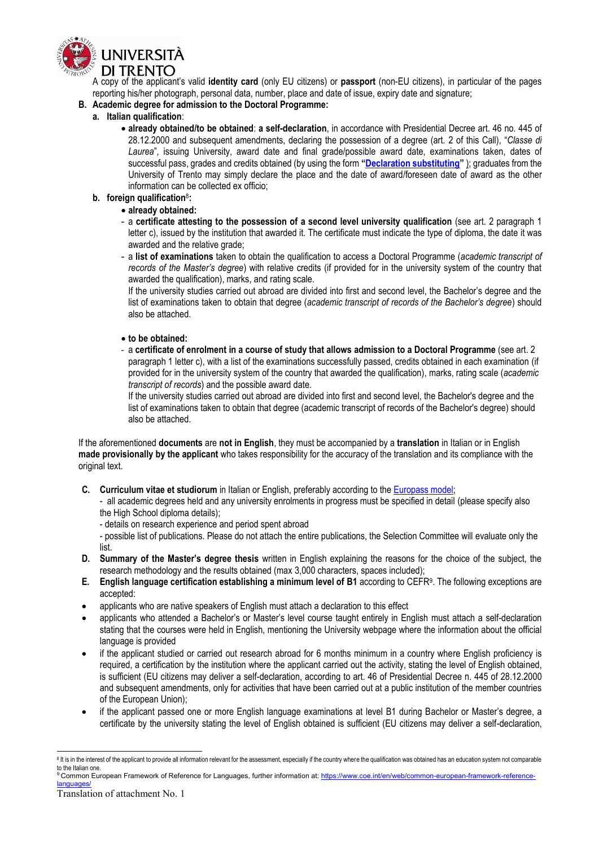

A copy of the applicant's valid **identity card** (only EU citizens) or **passport** (non-EU citizens), in particular of the pages reporting his/her photograph, personal data, number, place and date of issue, expiry date and signature;

#### **B. Academic degree for admission to the Doctoral Programme:**

#### **a. Italian qualification**:

• **already obtained/to be obtained**: **a self-declaration**, in accordance with Presidential Decree art. 46 no. 445 of 28.12.2000 and subsequent amendments, declaring the possession of a degree (art. 2 of this Call), "*Classe di Laurea*", issuing University, award date and final grade/possible award date, examinations taken, dates of successful pass, grades and credits obtained (by using the form **"[Declaration substituting](https://www.unitn.it/node/57597/download/declarationsubstituingdegreecertificateciclo30eng.docx)"** ); graduates from the University of Trento may simply declare the place and the date of award/foreseen date of award as the other information can be collected ex officio;

#### **b. foreign qualification**<sup>8</sup> **:**

- **already obtained:**
- a **certificate attesting to the possession of a second level university qualification** (see art. 2 paragraph 1 letter c), issued by the institution that awarded it. The certificate must indicate the type of diploma, the date it was awarded and the relative grade;
- a **list of examinations** taken to obtain the qualification to access a Doctoral Programme (*academic transcript of records of the Master's degree*) with relative credits (if provided for in the university system of the country that awarded the qualification), marks, and rating scale.

If the university studies carried out abroad are divided into first and second level, the Bachelor's degree and the list of examinations taken to obtain that degree (*academic transcript of records of the Bachelor's degree*) should also be attached.

#### • **to be obtained:**

‐ a **certificate of enrolment in a course of study that allows admission to a Doctoral Programme** (see art. 2 paragraph 1 letter c), with a list of the examinations successfully passed, credits obtained in each examination (if provided for in the university system of the country that awarded the qualification), marks, rating scale (*academic transcript of records*) and the possible award date.

If the university studies carried out abroad are divided into first and second level, the Bachelor's degree and the list of examinations taken to obtain that degree (academic transcript of records of the Bachelor's degree) should also be attached.

If the aforementioned **documents** are **not in English**, they must be accompanied by a **translation** in Italian or in English **made provisionally by the applicant** who takes responsibility for the accuracy of the translation and its compliance with the original text.

**C. Curriculum vitae et studiorum** in Italian or English, preferably according to the [Europass model;](https://europass.cedefop.europa.eu/documents/curriculum-vitae)

- all academic degrees held and any university enrolments in progress must be specified in detail (please specify also the High School diploma details);

- details on research experience and period spent abroad

- possible list of publications. Please do not attach the entire publications, the Selection Committee will evaluate only the list.

- **D. Summary of the Master's degree thesis** written in English explaining the reasons for the choice of the subject, the research methodology and the results obtained (max 3,000 characters, spaces included);
- **E. English language certification establishing a minimum level of B1** according to CEFR<sup>9</sup> . The following exceptions are accepted:
- applicants who are native speakers of English must attach a declaration to this effect
- applicants who attended a Bachelor's or Master's level course taught entirely in English must attach a self-declaration stating that the courses were held in English, mentioning the University webpage where the information about the official language is provided
- if the applicant studied or carried out research abroad for 6 months minimum in a country where English proficiency is required, a certification by the institution where the applicant carried out the activity, stating the level of English obtained, is sufficient (EU citizens may deliver a self-declaration, according to art. 46 of Presidential Decree n. 445 of 28.12.2000 and subsequent amendments, only for activities that have been carried out at a public institution of the member countries of the European Union);
- if the applicant passed one or more English language examinations at level B1 during Bachelor or Master's degree, a certificate by the university stating the level of English obtained is sufficient (EU citizens may deliver a self-declaration,

 8 It is in the interest of the applicant to provide all information relevant for the assessment, especially if the country where the qualification was obtained has an education system not comparable to the Italian one.

<sup>9</sup> Common European Framework of Reference for Languages, further information at[: https://www.coe.int/en/web/common-european-framework-reference](https://www.coe.int/en/web/common-european-framework-reference-languages/)[languages/](https://www.coe.int/en/web/common-european-framework-reference-languages/)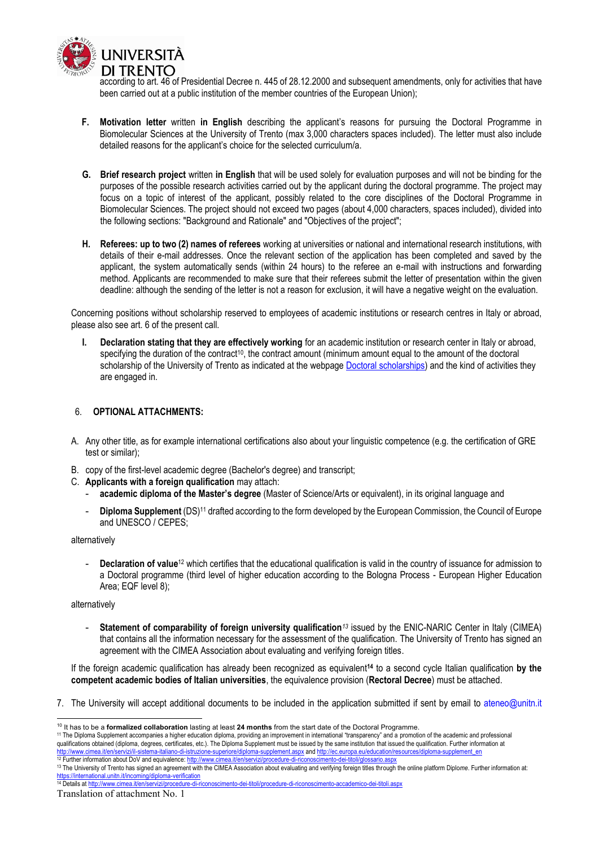

according to art. 46 of Presidential Decree n. 445 of 28.12.2000 and subsequent amendments, only for activities that have been carried out at a public institution of the member countries of the European Union);

- **F. Motivation letter** written **in English** describing the applicant's reasons for pursuing the Doctoral Programme in Biomolecular Sciences at the University of Trento (max 3,000 characters spaces included). The letter must also include detailed reasons for the applicant's choice for the selected curriculum/a.
- **G. Brief research project** written **in English** that will be used solely for evaluation purposes and will not be binding for the purposes of the possible research activities carried out by the applicant during the doctoral programme. The project may focus on a topic of interest of the applicant, possibly related to the core disciplines of the Doctoral Programme in Biomolecular Sciences. The project should not exceed two pages (about 4,000 characters, spaces included), divided into the following sections: "Background and Rationale" and "Objectives of the project";
- **H. Referees: up to two (2) names of referees** working at universities or national and international research institutions, with details of their e-mail addresses. Once the relevant section of the application has been completed and saved by the applicant, the system automatically sends (within 24 hours) to the referee an e-mail with instructions and forwarding method. Applicants are recommended to make sure that their referees submit the letter of presentation within the given deadline: although the sending of the letter is not a reason for exclusion, it will have a negative weight on the evaluation.

Concerning positions without scholarship reserved to employees of academic institutions or research centres in Italy or abroad, please also see art. 6 of the present call.

**I. Declaration stating that they are effectively working** for an academic institution or research center in Italy or abroad, specifying the duration of the contract<sup>10</sup>, the contract amount (minimum amount equal to the amount of the doctoral scholarship of the University of Trento as indicated at the webpage [Doctoral scholarships\)](https://www.unitn.it/en/node/1937) and the kind of activities they are engaged in.

#### 6. **OPTIONAL ATTACHMENTS:**

- A. Any other title, as for example international certifications also about your linguistic competence (e.g. the certification of GRE test or similar);
- B. copy of the first-level academic degree (Bachelor's degree) and transcript;
- C. **Applicants with a foreign qualification** may attach:
	- **academic diploma of the Master's degree** (Master of Science/Arts or equivalent), in its original language and
	- **Diploma Supplement** (DS)<sup>11</sup> drafted according to the form developed by the European Commission, the Council of Europe and UNESCO / CEPES;

alternatively

- **Declaration of value**<sup>12</sup> which certifies that the educational qualification is valid in the country of issuance for admission to a Doctoral programme (third level of higher education according to the Bologna Process - European Higher Education Area; EQF level 8);

#### alternatively

**Statement of comparability of foreign university qualification<sup>13</sup> issued by the ENIC-NARIC Center in Italy (CIMEA)** that contains all the information necessary for the assessment of the qualification. The University of Trento has signed an agreement with the CIMEA Association about evaluating and verifying foreign titles.

If the foreign academic qualification has already been recognized as equivalent**<sup>14</sup>** to a second cycle Italian qualification **by the competent academic bodies of Italian universities**, the equivalence provision (**Rectoral Decree**) must be attached.

7. The University will accept additional documents to be included in the application submitted if sent by email to ateneo@unitn.it

<sup>-</sup><sup>10</sup> It has to be a **formalized collaboration** lasting at least **24 months** from the start date of the Doctoral Programme.

<sup>11</sup> The Diploma Supplement accompanies a higher education diploma, providing an improvement in international "transparency" and a promotion of the academic and professional qualifications obtained (diploma, degrees, certificates, etc.). The Diploma Supplement must be issued by the same institution that issued the qualification. Further information at http://www.cimea.it/en/servizi/il-sistema<http://www.cimea.it/en/servizi/il-sistema-italiano-di-istruzione-superiore/diploma-supplement.aspx> an[d http://ec.europa.eu/education/resources/diploma-supplement\\_en](http://ec.europa.eu/education/resources/diploma-supplement_en)

<sup>12</sup> Further information about DoV and equivalence: http://www.cimea.it/en/servizi/procedure-di-riconoscimento-dei-titoli/glossario.

<sup>&</sup>lt;sup>13</sup> The University of Trento has signed an agreement with the CIMEA Association about evaluating and verifying foreign titles through the online platform Diplome. Further information at: https://international.unitn.it/incoming/diploma-verification<br><sup>14</sup> Details at http://www.cimea.it/en/servizi/procedure-di-ri noscimento-dei-titoli/procedure-di-riconoscimento-accademico-dei-titoli.aspx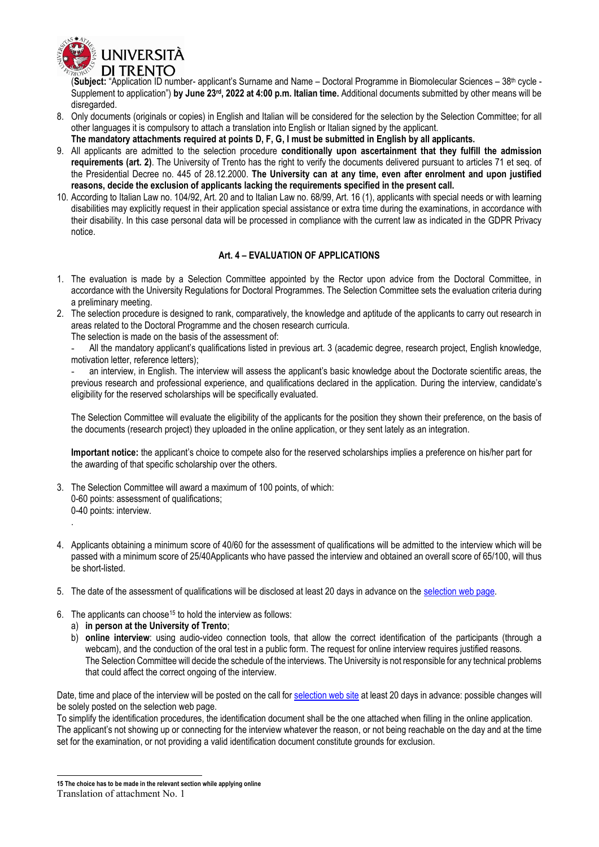

(Subject: "Application ID number- applicant's Surname and Name – Doctoral Programme in Biomolecular Sciences – 38<sup>th</sup> cycle -Supplement to application") **by June 23rd , 2022 at 4:00 p.m. Italian time.** Additional documents submitted by other means will be disregarded.

- 8. Only documents (originals or copies) in English and Italian will be considered for the selection by the Selection Committee; for all other languages it is compulsory to attach a translation into English or Italian signed by the applicant.
- **The mandatory attachments required at points D, F, G, I must be submitted in English by all applicants.**
- 9. All applicants are admitted to the selection procedure **conditionally upon ascertainment that they fulfill the admission requirements (art. 2)**. The University of Trento has the right to verify the documents delivered pursuant to articles 71 et seq. of the Presidential Decree no. 445 of 28.12.2000. **The University can at any time, even after enrolment and upon justified reasons, decide the exclusion of applicants lacking the requirements specified in the present call.**
- 10. According to Italian Law no. 104/92, Art. 20 and to Italian Law no. 68/99, Art. 16 (1), applicants with special needs or with learning disabilities may explicitly request in their application special assistance or extra time during the examinations, in accordance with their disability. In this case personal data will be processed in compliance with the current law as indicated in the GDPR Privacy notice.

#### **Art. 4 – EVALUATION OF APPLICATIONS**

- <span id="page-6-0"></span>1. The evaluation is made by a Selection Committee appointed by the Rector upon advice from the Doctoral Committee, in accordance with the University Regulations for Doctoral Programmes. The Selection Committee sets the evaluation criteria during a preliminary meeting.
- 2. The selection procedure is designed to rank, comparatively, the knowledge and aptitude of the applicants to carry out research in areas related to the Doctoral Programme and the chosen research curricula.

The selection is made on the basis of the assessment of:

- All the mandatory applicant's qualifications listed in previous art. 3 (academic degree, research project, English knowledge, motivation letter, reference letters);

- an interview, in English. The interview will assess the applicant's basic knowledge about the Doctorate scientific areas, the previous research and professional experience, and qualifications declared in the application. During the interview, candidate's eligibility for the reserved scholarships will be specifically evaluated.

The Selection Committee will evaluate the eligibility of the applicants for the position they shown their preference, on the basis of the documents (research project) they uploaded in the online application, or they sent lately as an integration.

**Important notice:** the applicant's choice to compete also for the reserved scholarships implies a preference on his/her part for the awarding of that specific scholarship over the others.

- 3. The Selection Committee will award a maximum of 100 points, of which: 0-60 points: assessment of qualifications;
	- 0-40 points: interview. .
- 4. Applicants obtaining a minimum score of 40/60 for the assessment of qualifications will be admitted to the interview which will be passed with a minimum score of 25/40Applicants who have passed the interview and obtained an overall score of 65/100, will thus be short-listed.
- 5. The date of the assessment of qualifications will be disclosed at least 20 days in advance on the [selection web page.](https://www.unitn.it/en/node/1961)
- 6. The applicants can choose<sup>15</sup> to hold the interview as follows:
	- a) **in person at the University of Trento**;
	- b) **online interview**: using audio-video connection tools, that allow the correct identification of the participants (through a webcam), and the conduction of the oral test in a public form. The request for online interview requires justified reasons. The Selection Committee will decide the schedule of the interviews. The University is not responsible for any technical problems that could affect the correct ongoing of the interview.

Date, time and place of the interview will be posted on the call fo[r selection web site](https://www.unitn.it/en/node/1961) at least 20 days in advance: possible changes will be solely posted on the selection web page.

To simplify the identification procedures, the identification document shall be the one attached when filling in the online application. The applicant's not showing up or connecting for the interview whatever the reason, or not being reachable on the day and at the time set for the examination, or not providing a valid identification document constitute grounds for exclusion.

-

**<sup>15</sup> The choice has to be made in the relevant section while applying online**

Translation of attachment No. 1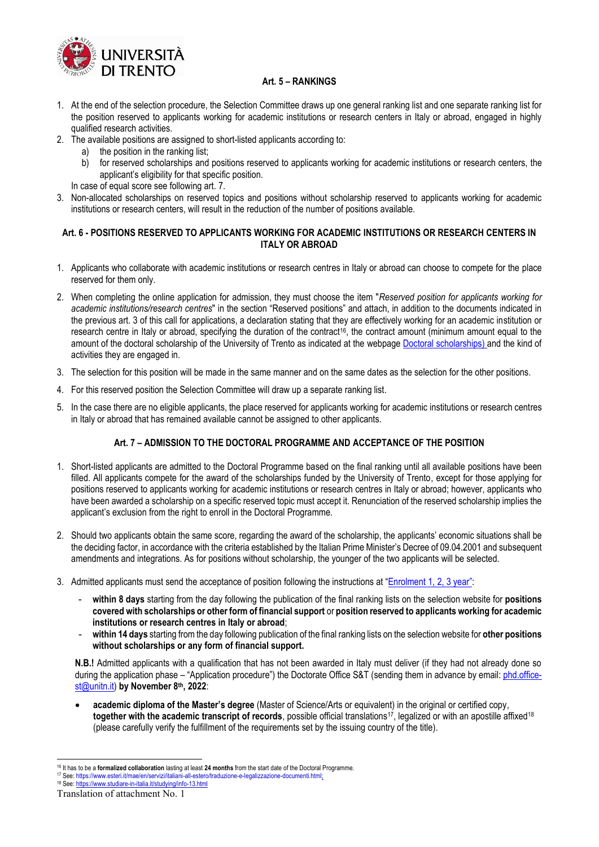

#### **Art. 5 – RANKINGS**

- <span id="page-7-0"></span>1. At the end of the selection procedure, the Selection Committee draws up one general ranking list and one separate ranking list for the position reserved to applicants working for academic institutions or research centers in Italy or abroad, engaged in highly qualified research activities.
- 2. The available positions are assigned to short-listed applicants according to:
	- a) the position in the ranking list;
		- b) for reserved scholarships and positions reserved to applicants working for academic institutions or research centers, the applicant's eligibility for that specific position.
	- In case of equal score see following art. 7.
- 3. Non-allocated scholarships on reserved topics and positions without scholarship reserved to applicants working for academic institutions or research centers, will result in the reduction of the number of positions available.

#### <span id="page-7-1"></span>**Art. 6 - POSITIONS RESERVED TO APPLICANTS WORKING FOR ACADEMIC INSTITUTIONS OR RESEARCH CENTERS IN ITALY OR ABROAD**

- 1. Applicants who collaborate with academic institutions or research centres in Italy or abroad can choose to compete for the place reserved for them only.
- 2. When completing the online application for admission, they must choose the item "*Reserved position for applicants working for academic institutions/research centres*" in the section "Reserved positions" and attach, in addition to the documents indicated in the previous art. 3 of this call for applications, a declaration stating that they are effectively working for an academic institution or research centre in Italy or abroad, specifying the duration of the contract<sup>16</sup>, the contract amount (minimum amount equal to the amount of the doctoral scholarship of the University of Trento as indicated at the webpage [Doctoral scholarships\)](https://www.unitn.it/en/node/1937) and the kind of activities they are engaged in.
- 3. The selection for this position will be made in the same manner and on the same dates as the selection for the other positions.
- 4. For this reserved position the Selection Committee will draw up a separate ranking list.
- <span id="page-7-2"></span>5. In the case there are no eligible applicants, the place reserved for applicants working for academic institutions or research centres in Italy or abroad that has remained available cannot be assigned to other applicants.

#### **Art. 7 – ADMISSION TO THE DOCTORAL PROGRAMME AND ACCEPTANCE OF THE POSITION**

- 1. Short-listed applicants are admitted to the Doctoral Programme based on the final ranking until all available positions have been filled. All applicants compete for the award of the scholarships funded by the University of Trento, except for those applying for positions reserved to applicants working for academic institutions or research centres in Italy or abroad; however, applicants who have been awarded a scholarship on a specific reserved topic must accept it. Renunciation of the reserved scholarship implies the applicant's exclusion from the right to enroll in the Doctoral Programme.
- 2. Should two applicants obtain the same score, regarding the award of the scholarship, the applicants' economic situations shall be the deciding factor, in accordance with the criteria established by the Italian Prime Minister's Decree of 09.04.2001 and subsequent amendments and integrations. As for positions without scholarship, the younger of the two applicants will be selected.
- 3. Admitted applicants must send the acceptance of position following the instructions at "[Enrolment 1, 2, 3 year](https://www.unitn.it/en/node/1928)":
	- **within 8 days** starting from the day following the publication of the final ranking lists on the selection website for **positions covered with scholarships or other form of financial support** or **position reserved to applicants working for academic institutions or research centres in Italy or abroad**;
	- **within 14 days** starting from the day following publication of the final ranking lists on the selection website for **other positions without scholarships or any form of financial support.**

**N.B.!** Admitted applicants with a qualification that has not been awarded in Italy must deliver (if they had not already done so during the application phase – "Application procedure") the Doctorate Office S&T (sending them in advance by email: [phd.office](mailto:phd.office-st@unitn.it)[st@unitn.it\)](mailto:phd.office-st@unitn.it) **by November 8th, 2022**:

• **academic diploma of the Master's degree** (Master of Science/Arts or equivalent) in the original or certified copy, together with the academic transcript of records, possible official translations<sup>17</sup>, legalized or with an apostille affixed<sup>18</sup> (please carefully verify the fulfillment of the requirements set by the issuing country of the title).

<sup>-</sup><sup>16</sup> It has to be a **formalized collaboration** lasting at least **24 months** from the start date of the Doctoral Programme.

<sup>17</sup> See: [https://www.esteri.it/mae/en/servizi/italiani-all-estero/traduzione-e-legalizzazione-documenti.html;](https://www.esteri.it/mae/en/servizi/italiani-all-estero/traduzione-e-legalizzazione-documenti.html)

<sup>18</sup> See[: https://www.studiare-in-italia.it/studying/info-13.html](https://www.studiare-in-italia.it/studying/info-13.html)

Translation of attachment No. 1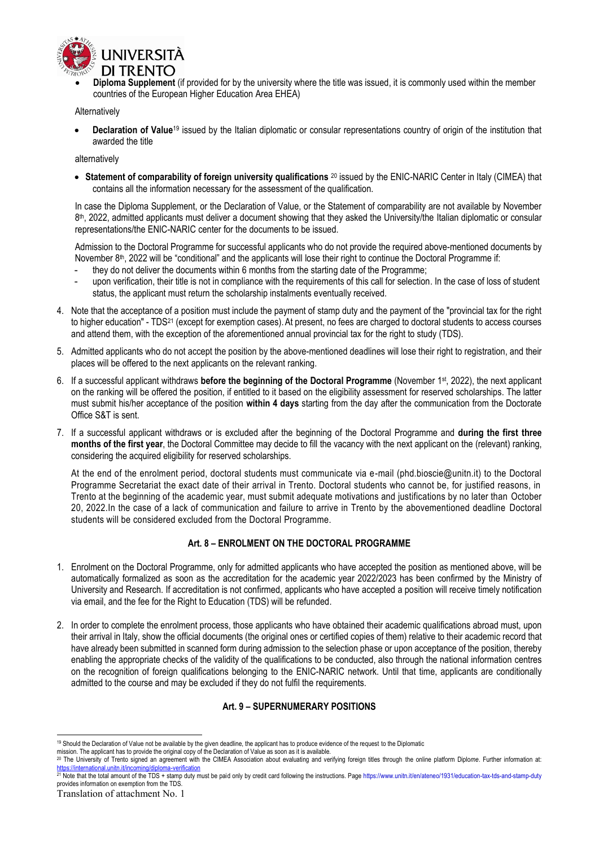

• **Diploma Supplement** (if provided for by the university where the title was issued, it is commonly used within the member countries of the European Higher Education Area EHEA)

**Alternatively** 

• **Declaration of Value**<sup>19</sup> issued by the Italian diplomatic or consular representations country of origin of the institution that awarded the title

alternatively

• **Statement of comparability of foreign university qualifications** <sup>20</sup> issued by the ENIC-NARIC Center in Italy (CIMEA) that contains all the information necessary for the assessment of the qualification.

In case the Diploma Supplement, or the Declaration of Value, or the Statement of comparability are not available by November 8 th, 2022, admitted applicants must deliver a document showing that they asked the University/the Italian diplomatic or consular representations/the ENIC-NARIC center for the documents to be issued.

Admission to the Doctoral Programme for successful applicants who do not provide the required above-mentioned documents by November 8<sup>th</sup>, 2022 will be "conditional" and the applicants will lose their right to continue the Doctoral Programme if:

- they do not deliver the documents within 6 months from the starting date of the Programme;
- upon verification, their title is not in compliance with the requirements of this call for selection. In the case of loss of student status, the applicant must return the scholarship instalments eventually received.
- 4. Note that the acceptance of a position must include the payment of stamp duty and the payment of the "provincial tax for the right to higher education" - TDS<sup>21</sup> (except for exemption cases). At present, no fees are charged to doctoral students to access courses and attend them, with the exception of the aforementioned annual provincial tax for the right to study (TDS).
- 5. Admitted applicants who do not accept the position by the above-mentioned deadlines will lose their right to registration, and their places will be offered to the next applicants on the relevant ranking.
- 6. If a successful applicant withdraws **before the beginning of the Doctoral Programme** (November 1st, 2022), the next applicant on the ranking will be offered the position, if entitled to it based on the eligibility assessment for reserved scholarships. The latter must submit his/her acceptance of the position **within 4 days** starting from the day after the communication from the Doctorate Office S&T is sent.
- 7. If a successful applicant withdraws or is excluded after the beginning of the Doctoral Programme and **during the first three months of the first year**, the Doctoral Committee may decide to fill the vacancy with the next applicant on the (relevant) ranking, considering the acquired eligibility for reserved scholarships.

At the end of the enrolment period, doctoral students must communicate via e-mail (phd.bioscie@unitn.it) to the Doctoral Programme Secretariat the exact date of their arrival in Trento. Doctoral students who cannot be, for justified reasons, in Trento at the beginning of the academic year, must submit adequate motivations and justifications by no later than October 20, 2022.In the case of a lack of communication and failure to arrive in Trento by the abovementioned deadline Doctoral students will be considered excluded from the Doctoral Programme.

#### **Art. 8 – ENROLMENT ON THE DOCTORAL PROGRAMME**

- <span id="page-8-0"></span>1. Enrolment on the Doctoral Programme, only for admitted applicants who have accepted the position as mentioned above, will be automatically formalized as soon as the accreditation for the academic year 2022/2023 has been confirmed by the Ministry of University and Research. If accreditation is not confirmed, applicants who have accepted a position will receive timely notification via email, and the fee for the Right to Education (TDS) will be refunded.
- 2. In order to complete the enrolment process, those applicants who have obtained their academic qualifications abroad must, upon their arrival in Italy, show the official documents (the original ones or certified copies of them) relative to their academic record that have already been submitted in scanned form during admission to the selection phase or upon acceptance of the position, thereby enabling the appropriate checks of the validity of the qualifications to be conducted, also through the national information centres on the recognition of foreign qualifications belonging to the ENIC-NARIC network. Until that time, applicants are conditionally admitted to the course and may be excluded if they do not fulfil the requirements.

#### **Art. 9 – SUPERNUMERARY POSITIONS**

<span id="page-8-1"></span><sup>-</sup><sup>19</sup> Should the Declaration of Value not be available by the given deadline, the applicant has to produce evidence of the request to the Diplomatic

mission. The applicant has to provide the original copy of the Declaration of Value as soon as it is available.

<sup>&</sup>lt;sup>20</sup> The University of Trento signed an agreement with the CIMEA Association about evaluating and verifying foreign titles through the online platform Diplome. Further information at:<br>https://international.unitn.it/incomin

<sup>&</sup>lt;u><https://international.unitn.it/incoming/diploma-verification></u><br><sup>21</sup> Note that the total amount of the TDS + stamp duty must be paid only by credit card following the instructions. Page https://www.unitn.it/en/ateneo/1931/e provides information on exemption from the TDS.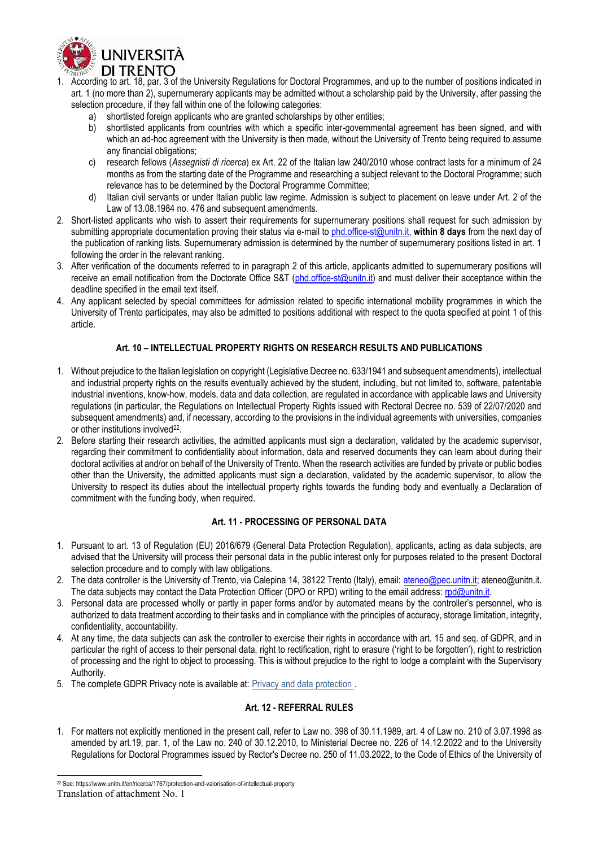

- 1. According to art. 18, par. 3 of the University Regulations for Doctoral Programmes, and up to the number of positions indicated in art. 1 (no more than 2), supernumerary applicants may be admitted without a scholarship paid by the University, after passing the selection procedure, if they fall within one of the following categories:
	- a) shortlisted foreign applicants who are granted scholarships by other entities;
	- b) shortlisted applicants from countries with which a specific inter-governmental agreement has been signed, and with which an ad-hoc agreement with the University is then made, without the University of Trento being required to assume any financial obligations;
	- c) research fellows (*Assegnisti di ricerca*) ex Art. 22 of the Italian law 240/2010 whose contract lasts for a minimum of 24 months as from the starting date of the Programme and researching a subject relevant to the Doctoral Programme; such relevance has to be determined by the Doctoral Programme Committee;
	- d) Italian civil servants or under Italian public law regime. Admission is subject to placement on leave under Art. 2 of the Law of 13.08.1984 no. 476 and subsequent amendments.
- 2. Short-listed applicants who wish to assert their requirements for supernumerary positions shall request for such admission by submitting appropriate documentation proving their status via e-mail t[o phd.office-st@unitn.it,](mailto:phd.office-st@unitn.it) **within 8 days** from the next day of the publication of ranking lists. Supernumerary admission is determined by the number of supernumerary positions listed in art. 1 following the order in the relevant ranking.
- 3. After verification of the documents referred to in paragraph 2 of this article, applicants admitted to supernumerary positions will receive an email notification from the Doctorate Office S&T [\(phd.office-st@unitn.it\)](mailto:phd.office-st@unitn.it) and must deliver their acceptance within the deadline specified in the email text itself.
- <span id="page-9-0"></span>4. Any applicant selected by special committees for admission related to specific international mobility programmes in which the University of Trento participates, may also be admitted to positions additional with respect to the quota specified at point 1 of this article.

#### **Art. 10 – INTELLECTUAL PROPERTY RIGHTS ON RESEARCH RESULTS AND PUBLICATIONS**

- 1. Without prejudice to the Italian legislation on copyright (Legislative Decree no. 633/1941 and subsequent amendments), intellectual and industrial property rights on the results eventually achieved by the student, including, but not limited to, software, patentable industrial inventions, know-how, models, data and data collection, are regulated in accordance with applicable laws and University regulations (in particular, the Regulations on Intellectual Property Rights issued with Rectoral Decree no. 539 of 22/07/2020 and subsequent amendments) and, if necessary, according to the provisions in the individual agreements with universities, companies or other institutions involved<sup>22</sup>.
- 2. Before starting their research activities, the admitted applicants must sign a declaration, validated by the academic supervisor, regarding their commitment to confidentiality about information, data and reserved documents they can learn about during their doctoral activities at and/or on behalf of the University of Trento. When the research activities are funded by private or public bodies other than the University, the admitted applicants must sign a declaration, validated by the academic supervisor, to allow the University to respect its duties about the intellectual property rights towards the funding body and eventually a Declaration of commitment with the funding body, when required.

#### **Art. 11 - PROCESSING OF PERSONAL DATA**

- <span id="page-9-1"></span>1. Pursuant to art. 13 of Regulation (EU) 2016/679 (General Data Protection Regulation), applicants, acting as data subjects, are advised that the University will process their personal data in the public interest only for purposes related to the present Doctoral selection procedure and to comply with law obligations.
- 2. The data controller is the University of Trento, via Calepina 14, 38122 Trento (Italy), email: [ateneo@pec.unitn.it;](mailto:ateneo@pec.unitn.it) ateneo@unitn.it. The data subjects may contact the Data Protection Officer (DPO or RPD) writing to the email address: rpd@unitn.it.
- 3. Personal data are processed wholly or partly in paper forms and/or by automated means by the controller's personnel, who is authorized to data treatment according to their tasks and in compliance with the principles of accuracy, storage limitation, integrity, confidentiality, accountability.
- 4. At any time, the data subjects can ask the controller to exercise their rights in accordance with art. 15 and seq. of GDPR, and in particular the right of access to their personal data, right to rectification, right to erasure ('right to be forgotten'), right to restriction of processing and the right to object to processing. This is without prejudice to the right to lodge a complaint with the Supervisory Authority.
- <span id="page-9-2"></span>5. The complete GDPR Privacy note is available at: [Privacy and data protection .](https://www.unitn.it/en/ateneo/51105/privacy-and-data-protection)

#### **Art. 12 - REFERRAL RULES**

1. For matters not explicitly mentioned in the present call, refer to Law no. 398 of 30.11.1989, art. 4 of Law no. 210 of 3.07.1998 as amended by art.19, par. 1, of the Law no. 240 of 30.12.2010, to Ministerial Decree no. 226 of 14.12.2022 and to the University Regulations for Doctoral Programmes issued by Rector's Decree no. 250 of 11.03.2022, to the Code of Ethics of the University of

-

<sup>&</sup>lt;sup>22</sup> See: https://www.unitn.it/en/ricerca/1767/protection-and-valorisation-of-intellectual-property

Translation of attachment No. 1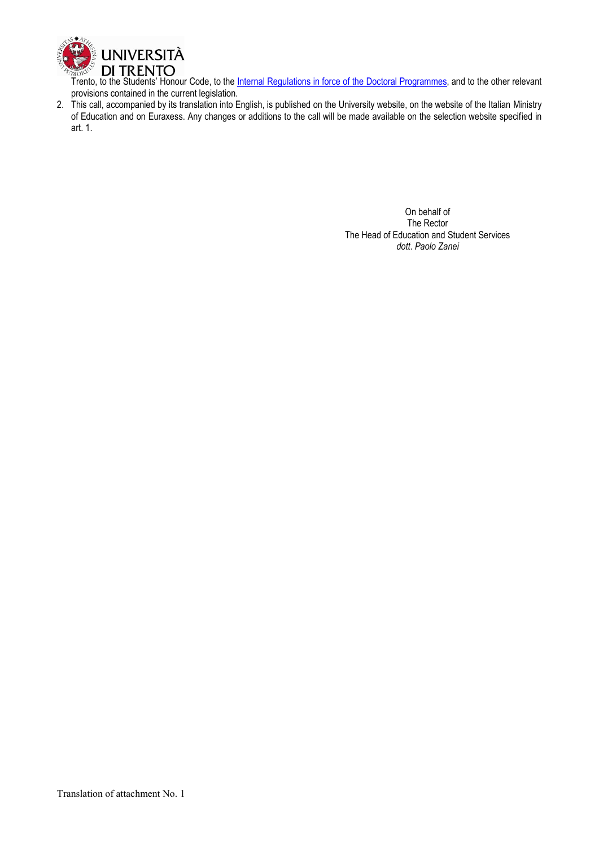

Trento, to the Students' Honour Code, to the *Internal Regulations in force of the Doctoral Programmes*, and to the other relevant provisions contained in the current legislation.

2. This call, accompanied by its translation into English, is published on the University website, on the website of the Italian Ministry of Education and on Euraxess. Any changes or additions to the call will be made available on the selection website specified in art. 1.

> On behalf of The Rector The Head of Education and Student Services *dott*. *Paolo Zanei*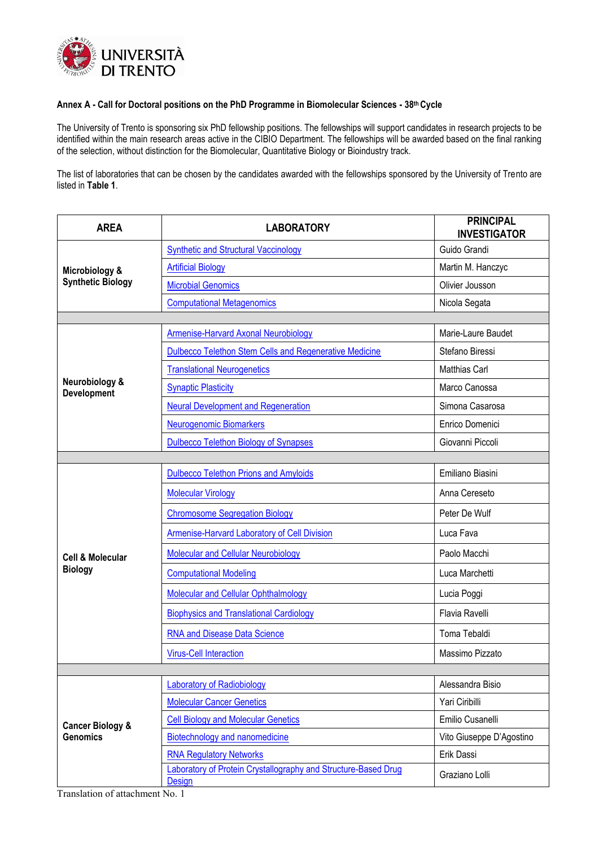

#### **Annex A - Call for Doctoral positions on the PhD Programme in Biomolecular Sciences - 38 th Cycle**

The University of Trento is sponsoring six PhD fellowship positions. The fellowships will support candidates in research projects to be identified within the main research areas active in the CIBIO Department. The fellowships will be awarded based on the final ranking of the selection, without distinction for the Biomolecular, Quantitative Biology or Bioindustry track.

The list of laboratories that can be chosen by the candidates awarded with the fellowships sponsored by the University of Trento are listed in **Table 1**.

| <b>AREA</b>                                    | <b>LABORATORY</b>                                                        | <b>PRINCIPAL</b><br><b>INVESTIGATOR</b> |
|------------------------------------------------|--------------------------------------------------------------------------|-----------------------------------------|
| Microbiology &<br><b>Synthetic Biology</b>     | <b>Synthetic and Structural Vaccinology</b>                              | Guido Grandi                            |
|                                                | <b>Artificial Biology</b>                                                | Martin M. Hanczyc                       |
|                                                | <b>Microbial Genomics</b>                                                | Olivier Jousson                         |
|                                                | <b>Computational Metagenomics</b>                                        | Nicola Segata                           |
|                                                |                                                                          |                                         |
|                                                | Armenise-Harvard Axonal Neurobiology                                     | Marie-Laure Baudet                      |
|                                                | <b>Dulbecco Telethon Stem Cells and Regenerative Medicine</b>            | Stefano Biressi                         |
|                                                | <b>Translational Neurogenetics</b>                                       | <b>Matthias Carl</b>                    |
| Neurobiology &<br><b>Development</b>           | <b>Synaptic Plasticity</b>                                               | Marco Canossa                           |
|                                                | <b>Neural Development and Regeneration</b>                               | Simona Casarosa                         |
|                                                | <b>Neurogenomic Biomarkers</b>                                           | Enrico Domenici                         |
|                                                | <b>Dulbecco Telethon Biology of Synapses</b>                             | Giovanni Piccoli                        |
|                                                |                                                                          |                                         |
|                                                | <b>Dulbecco Telethon Prions and Amyloids</b>                             | Emiliano Biasini                        |
|                                                | <b>Molecular Virology</b>                                                | Anna Cereseto                           |
|                                                | <b>Chromosome Segregation Biology</b>                                    | Peter De Wulf                           |
|                                                | Armenise-Harvard Laboratory of Cell Division                             | Luca Fava                               |
| <b>Cell &amp; Molecular</b>                    | Molecular and Cellular Neurobiology                                      | Paolo Macchi                            |
| <b>Biology</b>                                 | <b>Computational Modeling</b>                                            | Luca Marchetti                          |
|                                                | Molecular and Cellular Ophthalmology                                     | Lucia Poggi                             |
|                                                | <b>Biophysics and Translational Cardiology</b>                           | Flavia Ravelli                          |
|                                                | <b>RNA and Disease Data Science</b>                                      | Toma Tebaldi                            |
|                                                | <b>Virus-Cell Interaction</b>                                            | Massimo Pizzato                         |
|                                                |                                                                          |                                         |
|                                                | <b>Laboratory of Radiobiology</b>                                        | Alessandra Bisio                        |
| <b>Cancer Biology &amp;</b><br><b>Genomics</b> | <b>Molecular Cancer Genetics</b>                                         | Yari Ciribilli                          |
|                                                | <b>Cell Biology and Molecular Genetics</b>                               | Emilio Cusanelli                        |
|                                                | <b>Biotechnology and nanomedicine</b>                                    | Vito Giuseppe D'Agostino                |
|                                                | <b>RNA Regulatory Networks</b>                                           | Erik Dassi                              |
|                                                | Laboratory of Protein Crystallography and Structure-Based Drug<br>Design | Graziano Lolli                          |